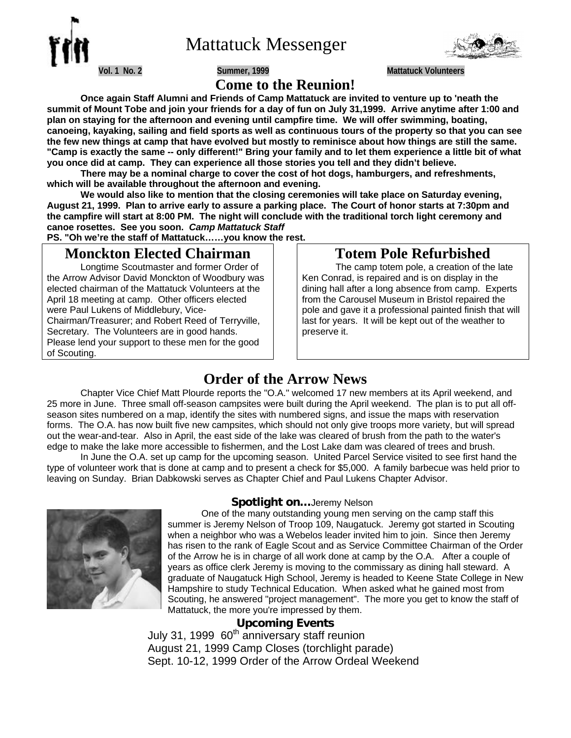

Mattatuck Messenger



**Vol. 1 No. 2 Summer, 1999 Mattatuck Volunteers**

# **Come to the Reunion!**

**Once again Staff Alumni and Friends of Camp Mattatuck are invited to venture up to 'neath the summit of Mount Tobe and join your friends for a day of fun on July 31,1999. Arrive anytime after 1:00 and plan on staying for the afternoon and evening until campfire time. We will offer swimming, boating, canoeing, kayaking, sailing and field sports as well as continuous tours of the property so that you can see the few new things at camp that have evolved but mostly to reminisce about how things are still the same. "Camp is exactly the same -- only different!" Bring your family and to let them experience a little bit of what you once did at camp. They can experience all those stories you tell and they didn't believe.**

**There may be a nominal charge to cover the cost of hot dogs, hamburgers, and refreshments, which will be available throughout the afternoon and evening.**

**We would also like to mention that the closing ceremonies will take place on Saturday evening, August 21, 1999. Plan to arrive early to assure a parking place. The Court of honor starts at 7:30pm and the campfire will start at 8:00 PM. The night will conclude with the traditional torch light ceremony and canoe rosettes. See you soon.** *Camp Mattatuck Staff*

**PS. "Oh we're the staff of Mattatuck……you know the rest.**

# **Monckton Elected Chairman**

Longtime Scoutmaster and former Order of the Arrow Advisor David Monckton of Woodbury was elected chairman of the Mattatuck Volunteers at the April 18 meeting at camp. Other officers elected were Paul Lukens of Middlebury, Vice-Chairman/Treasurer; and Robert Reed of Terryville, Secretary. The Volunteers are in good hands. Please lend your support to these men for the good of Scouting.

# **Totem Pole Refurbished**

The camp totem pole, a creation of the late Ken Conrad, is repaired and is on display in the dining hall after a long absence from camp. Experts from the Carousel Museum in Bristol repaired the pole and gave it a professional painted finish that will last for years. It will be kept out of the weather to preserve it.

# **Order of the Arrow News**

Chapter Vice Chief Matt Plourde reports the "O.A." welcomed 17 new members at its April weekend, and 25 more in June. Three small off-season campsites were built during the April weekend. The plan is to put all offseason sites numbered on a map, identify the sites with numbered signs, and issue the maps with reservation forms. The O.A. has now built five new campsites, which should not only give troops more variety, but will spread out the wear-and-tear. Also in April, the east side of the lake was cleared of brush from the path to the water's edge to make the lake more accessible to fishermen, and the Lost Lake dam was cleared of trees and brush.

In June the O.A. set up camp for the upcoming season. United Parcel Service visited to see first hand the type of volunteer work that is done at camp and to present a check for \$5,000. A family barbecue was held prior to leaving on Sunday. Brian Dabkowski serves as Chapter Chief and Paul Lukens Chapter Advisor.



## **Spotlight on…**Jeremy Nelson

One of the many outstanding young men serving on the camp staff this summer is Jeremy Nelson of Troop 109, Naugatuck. Jeremy got started in Scouting when a neighbor who was a Webelos leader invited him to join. Since then Jeremy has risen to the rank of Eagle Scout and as Service Committee Chairman of the Order of the Arrow he is in charge of all work done at camp by the O.A. After a couple of years as office clerk Jeremy is moving to the commissary as dining hall steward. A graduate of Naugatuck High School, Jeremy is headed to Keene State College in New Hampshire to study Technical Education. When asked what he gained most from Scouting, he answered "project management". The more you get to know the staff of Mattatuck, the more you're impressed by them.

## **Upcoming Events**

July 31, 1999 60<sup>th</sup> anniversary staff reunion August 21, 1999 Camp Closes (torchlight parade) Sept. 10-12, 1999 Order of the Arrow Ordeal Weekend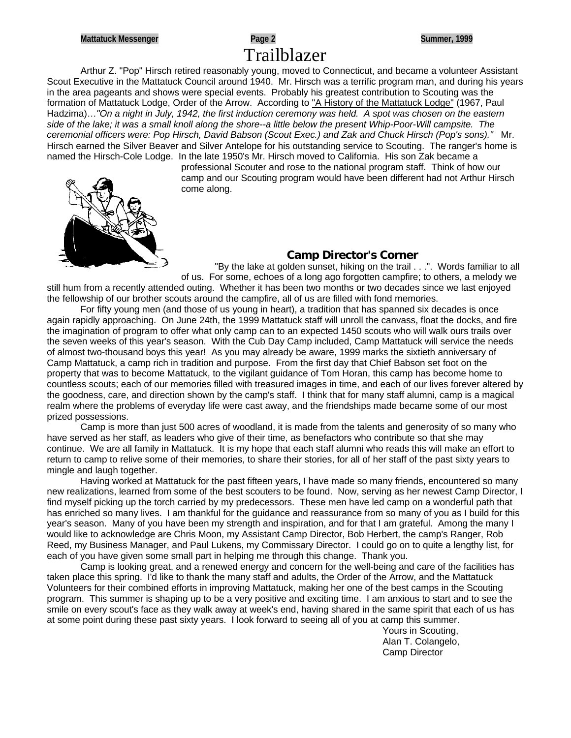# **Mattatuck Messenger Page 2 Summer, 1999** Trailblazer

Arthur Z. "Pop" Hirsch retired reasonably young, moved to Connecticut, and became a volunteer Assistant Scout Executive in the Mattatuck Council around 1940. Mr. Hirsch was a terrific program man, and during his years in the area pageants and shows were special events. Probably his greatest contribution to Scouting was the formation of Mattatuck Lodge, Order of the Arrow. According to "A History of the Mattatuck Lodge" (1967, Paul Hadzima)…*"On a night in July, 1942, the first induction ceremony was held. A spot was chosen on the eastern side of the lake; it was a small knoll along the shore--a little below the present Whip-Poor-Will campsite. The ceremonial officers were: Pop Hirsch, David Babson (Scout Exec.) and Zak and Chuck Hirsch (Pop's sons)."* Mr. Hirsch earned the Silver Beaver and Silver Antelope for his outstanding service to Scouting. The ranger's home is named the Hirsch-Cole Lodge. In the late 1950's Mr. Hirsch moved to California. His son Zak became a

> professional Scouter and rose to the national program staff. Think of how our camp and our Scouting program would have been different had not Arthur Hirsch come along.



## **Camp Director's Corner**

"By the lake at golden sunset, hiking on the trail . . .". Words familiar to all of us. For some, echoes of a long ago forgotten campfire; to others, a melody we

still hum from a recently attended outing. Whether it has been two months or two decades since we last enjoyed the fellowship of our brother scouts around the campfire, all of us are filled with fond memories.

For fifty young men (and those of us young in heart), a tradition that has spanned six decades is once again rapidly approaching. On June 24th, the 1999 Mattatuck staff will unroll the canvass, float the docks, and fire the imagination of program to offer what only camp can to an expected 1450 scouts who will walk ours trails over the seven weeks of this year's season. With the Cub Day Camp included, Camp Mattatuck will service the needs of almost two-thousand boys this year! As you may already be aware, 1999 marks the sixtieth anniversary of Camp Mattatuck, a camp rich in tradition and purpose. From the first day that Chief Babson set foot on the property that was to become Mattatuck, to the vigilant guidance of Tom Horan, this camp has become home to countless scouts; each of our memories filled with treasured images in time, and each of our lives forever altered by the goodness, care, and direction shown by the camp's staff. I think that for many staff alumni, camp is a magical realm where the problems of everyday life were cast away, and the friendships made became some of our most prized possessions.

Camp is more than just 500 acres of woodland, it is made from the talents and generosity of so many who have served as her staff, as leaders who give of their time, as benefactors who contribute so that she may continue. We are all family in Mattatuck. It is my hope that each staff alumni who reads this will make an effort to return to camp to relive some of their memories, to share their stories, for all of her staff of the past sixty years to mingle and laugh together.

Having worked at Mattatuck for the past fifteen years, I have made so many friends, encountered so many new realizations, learned from some of the best scouters to be found. Now, serving as her newest Camp Director, I find myself picking up the torch carried by my predecessors. These men have led camp on a wonderful path that has enriched so many lives. I am thankful for the guidance and reassurance from so many of you as I build for this year's season. Many of you have been my strength and inspiration, and for that I am grateful. Among the many I would like to acknowledge are Chris Moon, my Assistant Camp Director, Bob Herbert, the camp's Ranger, Rob Reed, my Business Manager, and Paul Lukens, my Commissary Director. I could go on to quite a lengthy list, for each of you have given some small part in helping me through this change. Thank you.

Camp is looking great, and a renewed energy and concern for the well-being and care of the facilities has taken place this spring. I'd like to thank the many staff and adults, the Order of the Arrow, and the Mattatuck Volunteers for their combined efforts in improving Mattatuck, making her one of the best camps in the Scouting program. This summer is shaping up to be a very positive and exciting time. I am anxious to start and to see the smile on every scout's face as they walk away at week's end, having shared in the same spirit that each of us has at some point during these past sixty years. I look forward to seeing all of you at camp this summer.

Yours in Scouting, Alan T. Colangelo, Camp Director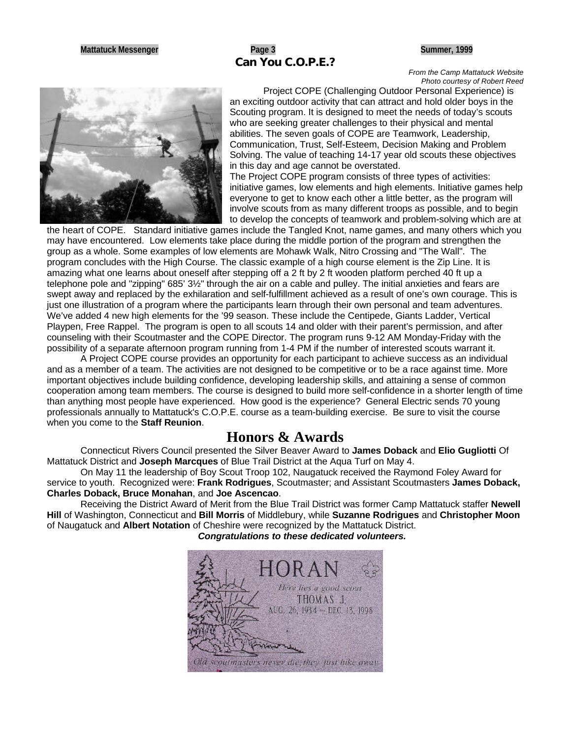## **Mattatuck Messenger Page 3 Summer, 1999 Can You C.O.P.E.?**

*From the Camp Mattatuck Website Photo courtesy of Robert Reed*



Project COPE (Challenging Outdoor Personal Experience) is an exciting outdoor activity that can attract and hold older boys in the Scouting program. It is designed to meet the needs of today's scouts who are seeking greater challenges to their physical and mental abilities. The seven goals of COPE are Teamwork, Leadership, Communication, Trust, Self-Esteem, Decision Making and Problem Solving. The value of teaching 14-17 year old scouts these objectives in this day and age cannot be overstated.

The Project COPE program consists of three types of activities: initiative games, low elements and high elements. Initiative games help everyone to get to know each other a little better, as the program will involve scouts from as many different troops as possible, and to begin to develop the concepts of teamwork and problem-solving which are at

the heart of COPE. Standard initiative games include the Tangled Knot, name games, and many others which you may have encountered. Low elements take place during the middle portion of the program and strengthen the group as a whole. Some examples of low elements are Mohawk Walk, Nitro Crossing and "The Wall". The program concludes with the High Course. The classic example of a high course element is the Zip Line. It is amazing what one learns about oneself after stepping off a 2 ft by 2 ft wooden platform perched 40 ft up a telephone pole and "zipping" 685' 3½" through the air on a cable and pulley. The initial anxieties and fears are swept away and replaced by the exhilaration and self-fulfillment achieved as a result of one's own courage. This is just one illustration of a program where the participants learn through their own personal and team adventures. We've added 4 new high elements for the '99 season. These include the Centipede, Giants Ladder, Vertical Playpen, Free Rappel. The program is open to all scouts 14 and older with their parent's permission, and after counseling with their Scoutmaster and the COPE Director. The program runs 9-12 AM Monday-Friday with the possibility of a separate afternoon program running from 1-4 PM if the number of interested scouts warrant it.

A Project COPE course provides an opportunity for each participant to achieve success as an individual and as a member of a team. The activities are not designed to be competitive or to be a race against time. More important objectives include building confidence, developing leadership skills, and attaining a sense of common cooperation among team members. The course is designed to build more self-confidence in a shorter length of time than anything most people have experienced. How good is the experience? General Electric sends 70 young professionals annually to Mattatuck's C.O.P.E. course as a team-building exercise. Be sure to visit the course when you come to the **Staff Reunion**.

## **Honors & Awards**

Connecticut Rivers Council presented the Silver Beaver Award to **James Doback** and **Elio Gugliotti** Of Mattatuck District and **Joseph Marcques** of Blue Trail District at the Aqua Turf on May 4.

On May 11 the leadership of Boy Scout Troop 102, Naugatuck received the Raymond Foley Award for service to youth. Recognized were: **Frank Rodrigues**, Scoutmaster; and Assistant Scoutmasters **James Doback, Charles Doback, Bruce Monahan**, and **Joe Ascencao**.

Receiving the District Award of Merit from the Blue Trail District was former Camp Mattatuck staffer **Newell Hill** of Washington, Connecticut and **Bill Morris** of Middlebury, while **Suzanne Rodrigues** and **Christopher Moon** of Naugatuck and **Albert Notation** of Cheshire were recognized by the Mattatuck District.

*Congratulations to these dedicated volunteers.*

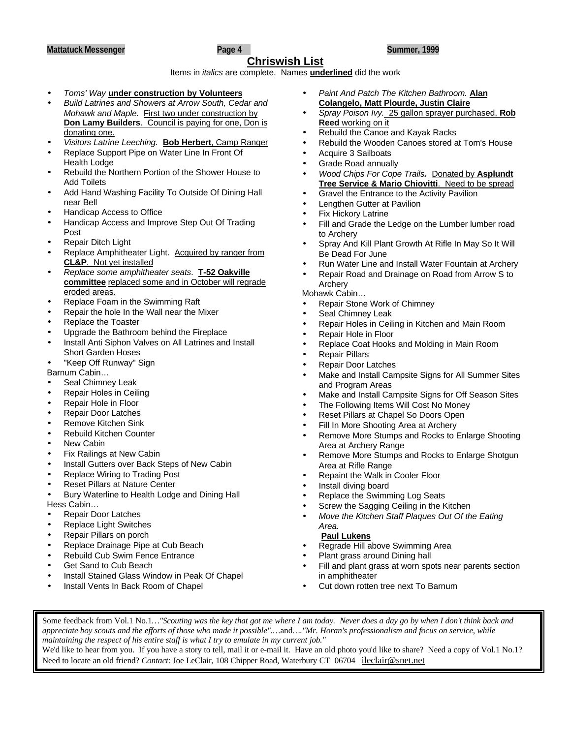## **Chriswish List**

Items in *italics* are complete. Names **underlined** did the work

- *Toms' Way* **under construction by Volunteers**
- *Build Latrines and Showers at Arrow South, Cedar and Mohawk and Maple.* First two under construction by **Don Lamy Builders**. Council is paying for one, Don is donating one.
- *Visitors Latrine Leeching.* **Bob Herbert**, Camp Ranger
- Replace Support Pipe on Water Line In Front Of **Health Lodge**
- Rebuild the Northern Portion of the Shower House to Add Toilets
- Add Hand Washing Facility To Outside Of Dining Hall near Bell
- Handicap Access to Office
- Handicap Access and Improve Step Out Of Trading Post
- Repair Ditch Light
- Replace Amphitheater Light. Acquired by ranger from **CL&P**. Not yet installed
- *Replace some amphitheater seats*. **T-52 Oakville committee** replaced some and in October will regrade eroded areas.
- Replace Foam in the Swimming Raft
- Repair the hole In the Wall near the Mixer
- Replace the Toaster
- Upgrade the Bathroom behind the Fireplace
- Install Anti Siphon Valves on All Latrines and Install Short Garden Hoses
- "Keep Off Runway" Sign

Barnum Cabin…

- Seal Chimney Leak
- Repair Holes in Ceiling
- Repair Hole in Floor
- Repair Door Latches
- Remove Kitchen Sink
- Rebuild Kitchen Counter
- New Cabin
- Fix Railings at New Cabin
- Install Gutters over Back Steps of New Cabin
- Replace Wiring to Trading Post
- Reset Pillars at Nature Center
- Bury Waterline to Health Lodge and Dining Hall

Hess Cabin…

- Repair Door Latches
- Replace Light Switches
- Repair Pillars on porch
- Replace Drainage Pipe at Cub Beach
- Rebuild Cub Swim Fence Entrance
- Get Sand to Cub Beach
- Install Stained Glass Window in Peak Of Chapel
- Install Vents In Back Room of Chapel
- *Paint And Patch The Kitchen Bathroom.* **Alan Colangelo, Matt Plourde, Justin Claire**
- *Spray Poison Ivy.* 25 gallon sprayer purchased, **Rob Reed** working on it
- Rebuild the Canoe and Kayak Racks
- Rebuild the Wooden Canoes stored at Tom's House
- Acquire 3 Sailboats
- Grade Road annually
- *Wood Chips For Cope Trails.* Donated by **Asplundt Tree Service & Mario Chiovitti**. Need to be spread
- Gravel the Entrance to the Activity Pavilion
- Lengthen Gutter at Pavilion
- **Fix Hickory Latrine**
- Fill and Grade the Ledge on the Lumber lumber road to Archery
- Spray And Kill Plant Growth At Rifle In May So It Will Be Dead For June
- Run Water Line and Install Water Fountain at Archery
- Repair Road and Drainage on Road from Arrow S to Archery

Mohawk Cabin…

- Repair Stone Work of Chimney
- Seal Chimney Leak
- Repair Holes in Ceiling in Kitchen and Main Room
- Repair Hole in Floor
- Replace Coat Hooks and Molding in Main Room
- Repair Pillars
- Repair Door Latches
- Make and Install Campsite Signs for All Summer Sites and Program Areas
- Make and Install Campsite Signs for Off Season Sites
- The Following Items Will Cost No Money
- Reset Pillars at Chapel So Doors Open
- Fill In More Shooting Area at Archery
- Remove More Stumps and Rocks to Enlarge Shooting Area at Archery Range
- Remove More Stumps and Rocks to Enlarge Shotgun Area at Rifle Range
- Repaint the Walk in Cooler Floor
- Install diving board
- Replace the Swimming Log Seats
- Screw the Sagging Ceiling in the Kitchen
- *Move the Kitchen Staff Plaques Out Of the Eating Area.*

## **Paul Lukens**

- Regrade Hill above Swimming Area
- Plant grass around Dining hall
- Fill and plant grass at worn spots near parents section in amphitheater
- Cut down rotten tree next To Barnum

Some feedback from Vol.1 No.1*…"Scouting was the key that got me where I am today. Never does a day go by when I don't think back and appreciate boy scouts and the efforts of those who made it possible".…*and*…."Mr. Horan's professionalism and focus on service, while maintaining the respect of his entire staff is what I try to emulate in my current job."*

We'd like to hear from you. If you have a story to tell, mail it or e-mail it. Have an old photo you'd like to share? Need a copy of Vol.1 No.1? Need to locate an old friend? *Contact*: Joe LeClair, 108 Chipper Road, Waterbury CT 06704 ileclair@snet.net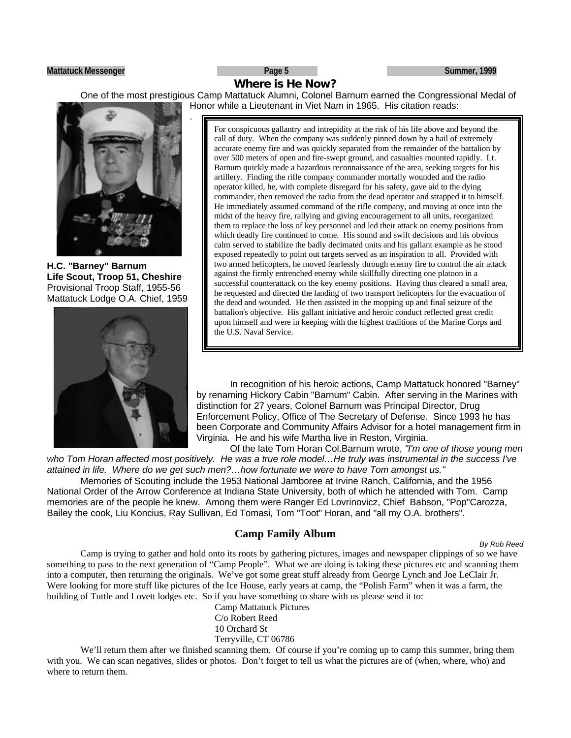### **Mattatuck Messenger Page 5 Summer, 1999**

# **Where is He Now?**

One of the most prestigious Camp Mattatuck Alumni, Colonel Barnum earned the Congressional Medal of Honor while a Lieutenant in Viet Nam in 1965. His citation reads:



.

**H.C. "Barney" Barnum Life Scout, Troop 51, Cheshire** Provisional Troop Staff, 1955-56 Mattatuck Lodge O.A. Chief, 1959



For conspicuous gallantry and intrepidity at the risk of his life above and beyond the call of duty. When the company was suddenly pinned down by a hail of extremely accurate enemy fire and was quickly separated from the remainder of the battalion by over 500 meters of open and fire-swept ground, and casualties mounted rapidly. Lt. Barnum quickly made a hazardous reconnaissance of the area, seeking targets for his artillery. Finding the rifle company commander mortally wounded and the radio operator killed, he, with complete disregard for his safety, gave aid to the dying commander, then removed the radio from the dead operator and strapped it to himself. He immediately assumed command of the rifle company, and moving at once into the midst of the heavy fire, rallying and giving encouragement to all units, reorganized them to replace the loss of key personnel and led their attack on enemy positions from which deadly fire continued to come. His sound and swift decisions and his obvious calm served to stabilize the badly decimated units and his gallant example as he stood exposed repeatedly to point out targets served as an inspiration to all. Provided with two armed helicopters, he moved fearlessly through enemy fire to control the air attack against the firmly entrenched enemy while skillfully directing one platoon in a successful counterattack on the key enemy positions. Having thus cleared a small area, he requested and directed the landing of two transport helicopters for the evacuation of the dead and wounded. He then assisted in the mopping up and final seizure of the battalion's objective. His gallant initiative and heroic conduct reflected great credit upon himself and were in keeping with the highest traditions of the Marine Corps and the U.S. Naval Service.

In recognition of his heroic actions, Camp Mattatuck honored "Barney" by renaming Hickory Cabin "Barnum" Cabin. After serving in the Marines with distinction for 27 years, Colonel Barnum was Principal Director, Drug Enforcement Policy, Office of The Secretary of Defense. Since 1993 he has been Corporate and Community Affairs Advisor for a hotel management firm in Virginia. He and his wife Martha live in Reston, Virginia.

Of the late Tom Horan Col.Barnum wrote, *"I'm one of those young men who Tom Horan affected most positively. He was a true role model…He truly was instrumental in the success I've attained in life. Where do we get such men?…how fortunate we were to have Tom amongst us."*

Memories of Scouting include the 1953 National Jamboree at Irvine Ranch, California, and the 1956 National Order of the Arrow Conference at Indiana State University, both of which he attended with Tom. Camp memories are of the people he knew. Among them were Ranger Ed Lovrinovicz, Chief Babson, "Pop"Carozza, Bailey the cook, Liu Koncius, Ray Sullivan, Ed Tomasi, Tom "Toot" Horan, and "all my O.A. brothers".

## **Camp Family Album**

*By Rob Reed*

Camp is trying to gather and hold onto its roots by gathering pictures, images and newspaper clippings of so we have something to pass to the next generation of "Camp People". What we are doing is taking these pictures etc and scanning them into a computer, then returning the originals. We've got some great stuff already from George Lynch and Joe LeClair Jr. Were looking for more stuff like pictures of the Ice House, early years at camp, the "Polish Farm" when it was a farm, the building of Tuttle and Lovett lodges etc. So if you have something to share with us please send it to:

Camp Mattatuck Pictures C/o Robert Reed 10 Orchard St Terryville, CT 06786

We'll return them after we finished scanning them. Of course if you're coming up to camp this summer, bring them with you. We can scan negatives, slides or photos. Don't forget to tell us what the pictures are of (when, where, who) and where to return them.